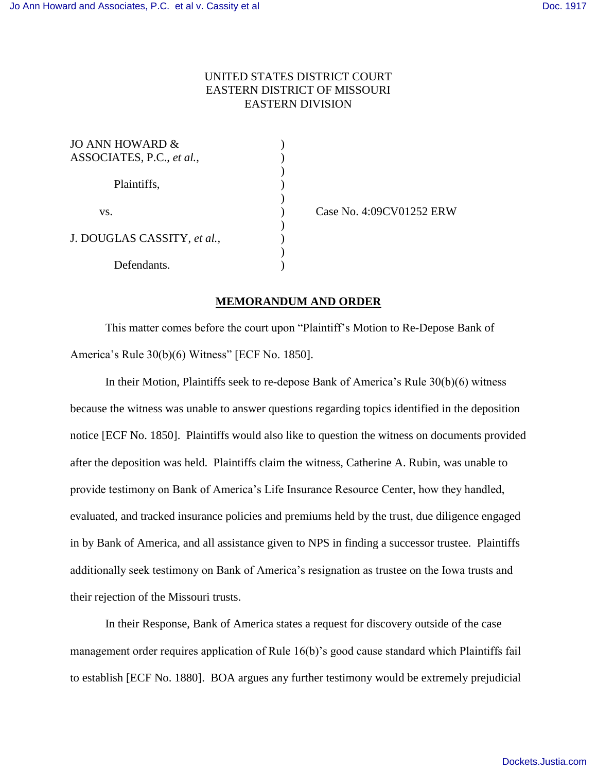## UNITED STATES DISTRICT COURT EASTERN DISTRICT OF MISSOURI EASTERN DIVISION

| JO ANN HOWARD &             |  |
|-----------------------------|--|
| ASSOCIATES, P.C., et al.,   |  |
| Plaintiffs,                 |  |
|                             |  |
|                             |  |
| VS.                         |  |
| J. DOUGLAS CASSITY, et al., |  |
|                             |  |
|                             |  |
| Defendants.                 |  |

(ase No. 4:09CV01252 ERW)

## **MEMORANDUM AND ORDER**

This matter comes before the court upon "Plaintiff's Motion to Re-Depose Bank of America's Rule 30(b)(6) Witness" [ECF No. 1850].

In their Motion, Plaintiffs seek to re-depose Bank of America's Rule 30(b)(6) witness because the witness was unable to answer questions regarding topics identified in the deposition notice [ECF No. 1850]. Plaintiffs would also like to question the witness on documents provided after the deposition was held. Plaintiffs claim the witness, Catherine A. Rubin, was unable to provide testimony on Bank of America's Life Insurance Resource Center, how they handled, evaluated, and tracked insurance policies and premiums held by the trust, due diligence engaged in by Bank of America, and all assistance given to NPS in finding a successor trustee. Plaintiffs additionally seek testimony on Bank of America's resignation as trustee on the Iowa trusts and their rejection of the Missouri trusts.

In their Response, Bank of America states a request for discovery outside of the case management order requires application of Rule 16(b)'s good cause standard which Plaintiffs fail to establish [ECF No. 1880]. BOA argues any further testimony would be extremely prejudicial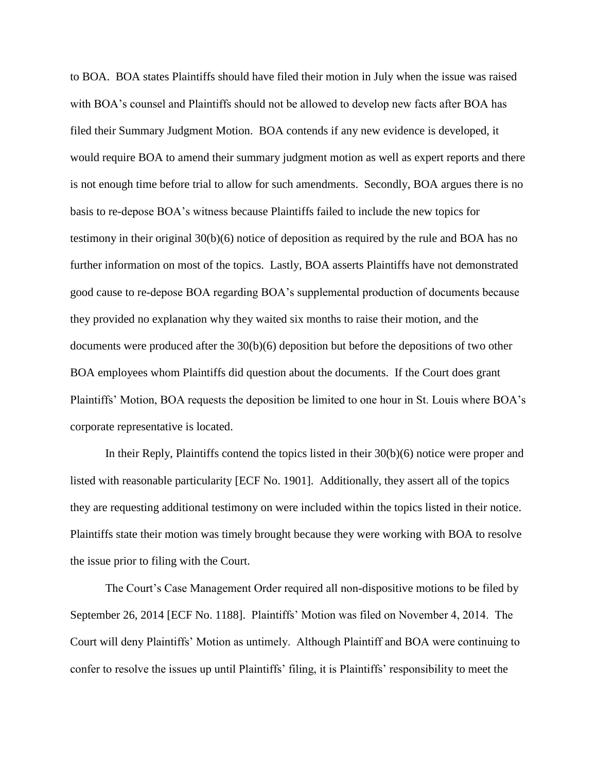to BOA. BOA states Plaintiffs should have filed their motion in July when the issue was raised with BOA's counsel and Plaintiffs should not be allowed to develop new facts after BOA has filed their Summary Judgment Motion. BOA contends if any new evidence is developed, it would require BOA to amend their summary judgment motion as well as expert reports and there is not enough time before trial to allow for such amendments. Secondly, BOA argues there is no basis to re-depose BOA's witness because Plaintiffs failed to include the new topics for testimony in their original 30(b)(6) notice of deposition as required by the rule and BOA has no further information on most of the topics. Lastly, BOA asserts Plaintiffs have not demonstrated good cause to re-depose BOA regarding BOA's supplemental production of documents because they provided no explanation why they waited six months to raise their motion, and the documents were produced after the 30(b)(6) deposition but before the depositions of two other BOA employees whom Plaintiffs did question about the documents. If the Court does grant Plaintiffs' Motion, BOA requests the deposition be limited to one hour in St. Louis where BOA's corporate representative is located.

In their Reply, Plaintiffs contend the topics listed in their 30(b)(6) notice were proper and listed with reasonable particularity [ECF No. 1901]. Additionally, they assert all of the topics they are requesting additional testimony on were included within the topics listed in their notice. Plaintiffs state their motion was timely brought because they were working with BOA to resolve the issue prior to filing with the Court.

The Court's Case Management Order required all non-dispositive motions to be filed by September 26, 2014 [ECF No. 1188]. Plaintiffs' Motion was filed on November 4, 2014. The Court will deny Plaintiffs' Motion as untimely. Although Plaintiff and BOA were continuing to confer to resolve the issues up until Plaintiffs' filing, it is Plaintiffs' responsibility to meet the